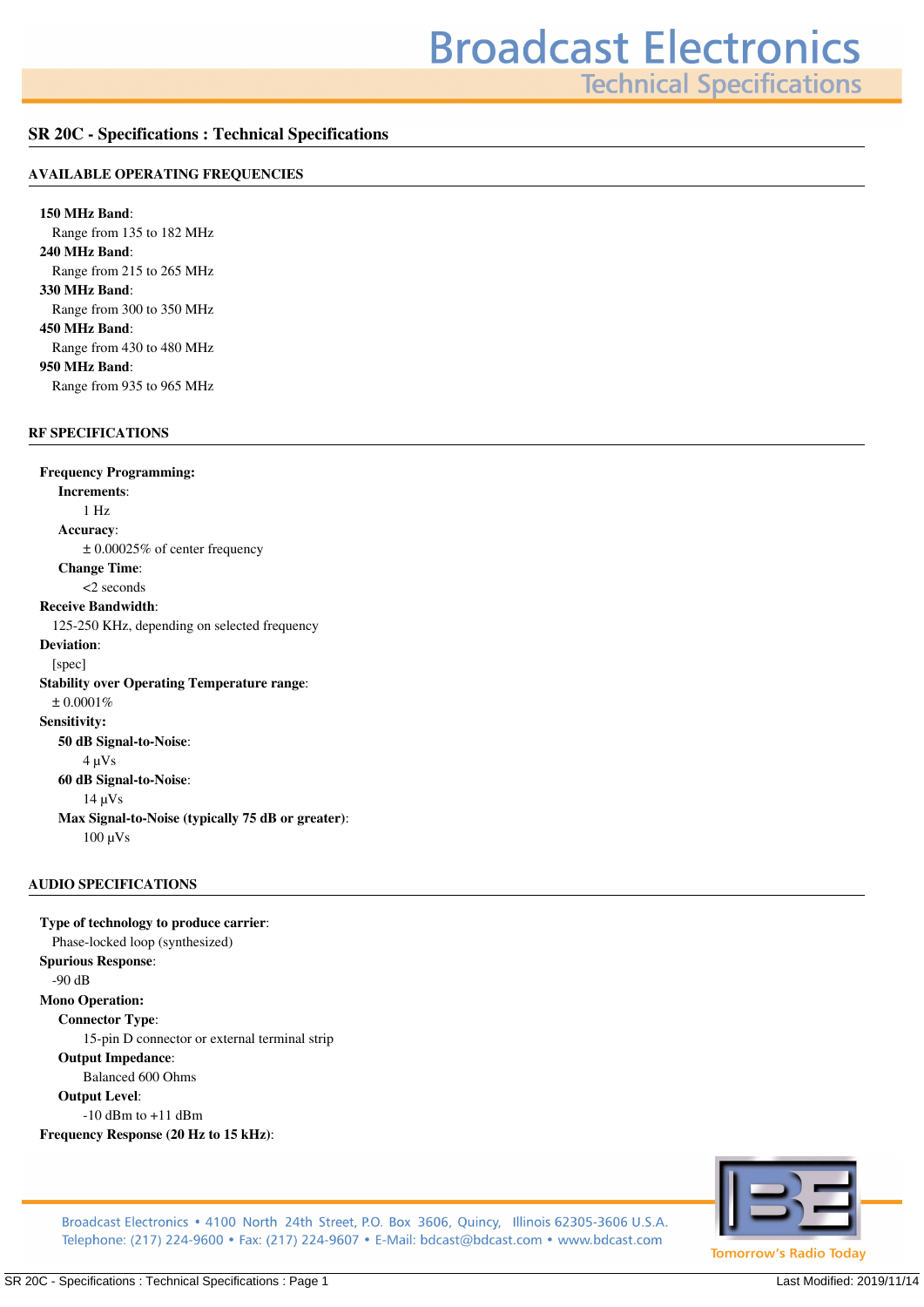**Technical Specifications** 

### **SR 20C - Specifications : Technical Specifications**

#### **AVAILABLE OPERATING FREQUENCIES**

**150 MHz Band***: Range from 135 to 182 MHz* **240 MHz Band***: Range from 215 to 265 MHz* **330 MHz Band***: Range from 300 to 350 MHz* **450 MHz Band***: Range from 430 to 480 MHz* **950 MHz Band***: Range from 935 to 965 MHz*

### **RF SPECIFICATIONS**

**Frequency Programming: Increments***: 1 Hz* **Accuracy***: ± 0.00025% of center frequency* **Change Time***: <2 seconds* **Receive Bandwidth***: 125-250 KHz, depending on selected frequency* **Deviation***: [spec]* **Stability over Operating Temperature range***: ± 0.0001%* **Sensitivity: 50 dB Signal-to-Noise***: 4 µVs* **60 dB Signal-to-Noise***: 14 µVs* **Max Signal-to-Noise (typically 75 dB or greater)***: 100 µVs*

#### **AUDIO SPECIFICATIONS**

**Type of technology to produce carrier***: Phase-locked loop (synthesized)* **Spurious Response***: -90 dB* **Mono Operation: Connector Type***: 15-pin D connector or external terminal strip* **Output Impedance***: Balanced 600 Ohms* **Output Level***: -10 dBm to +11 dBm* **Frequency Response (20 Hz to 15 kHz)***:*



Broadcast Electronics • 4100 North 24th Street, P.O. Box 3606, Quincy, Illinois 62305-3606 U.S.A. Telephone: (217) 224-9600 • Fax: (217) 224-9607 • E-Mail: bdcast@bdcast.com • www.bdcast.com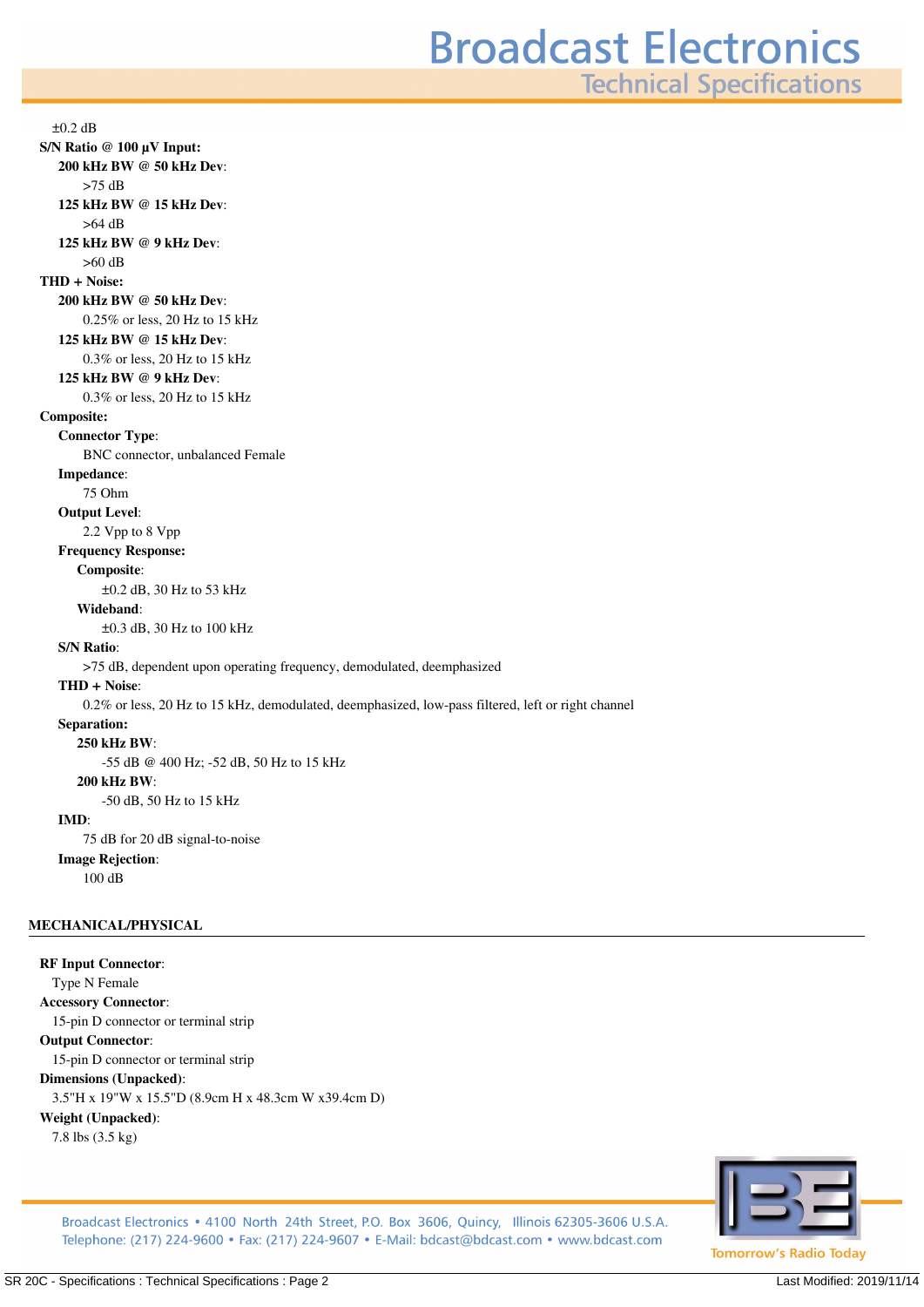**Technical Specifications** 

*>75 dB* **125 kHz BW @ 15 kHz Dev***: >64 dB* **125 kHz BW @ 9 kHz Dev***: >60 dB* **THD + Noise: 200 kHz BW @ 50 kHz Dev***: 0.25% or less, 20 Hz to 15 kHz* **125 kHz BW @ 15 kHz Dev***: 0.3% or less, 20 Hz to 15 kHz* **125 kHz BW @ 9 kHz Dev***: 0.3% or less, 20 Hz to 15 kHz* **Composite: Connector Type***: BNC connector, unbalanced Female* **Impedance***: 75 Ohm* **Output Level***: 2.2 Vpp to 8 Vpp* **Frequency Response: Composite***: ±0.2 dB, 30 Hz to 53 kHz* **Wideband***: ±0.3 dB, 30 Hz to 100 kHz* **S/N Ratio***: >75 dB, dependent upon operating frequency, demodulated, deemphasized* **THD + Noise***: 0.2% or less, 20 Hz to 15 kHz, demodulated, deemphasized, low-pass filtered, left or right channel* **Separation: 250 kHz BW***: -55 dB @ 400 Hz; -52 dB, 50 Hz to 15 kHz* **200 kHz BW***: -50 dB, 50 Hz to 15 kHz* **IMD***: 75 dB for 20 dB signal-to-noise* **Image Rejection***: 100 dB* **MECHANICAL/PHYSICAL RF Input Connector***: Type N Female* **Accessory Connector***: 15-pin D connector or terminal strip* **Output Connector***: 15-pin D connector or terminal strip* **Dimensions (Unpacked)***: 3.5"H x 19"W x 15.5"D (8.9cm H x 48.3cm W x39.4cm D)*

## **Weight (Unpacked)***:*

*7.8 lbs (3.5 kg)*

*±0.2 dB*

**S/N Ratio @ 100 µV Input: 200 kHz BW @ 50 kHz Dev***:*



Broadcast Electronics • 4100 North 24th Street, P.O. Box 3606, Quincy, Illinois 62305-3606 U.S.A. Telephone: (217) 224-9600 • Fax: (217) 224-9607 • E-Mail: bdcast@bdcast.com • www.bdcast.com